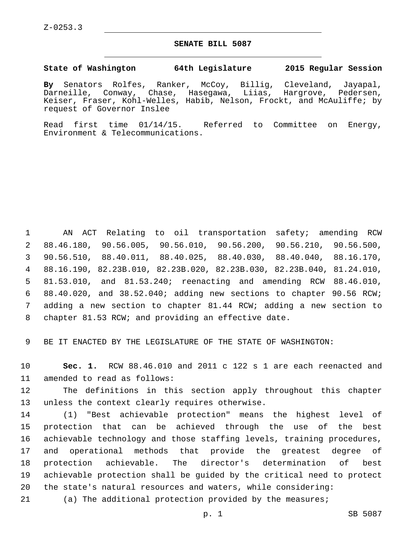## **SENATE BILL 5087**

## **State of Washington 64th Legislature 2015 Regular Session**

**By** Senators Rolfes, Ranker, McCoy, Billig, Cleveland, Jayapal, Darneille, Conway, Chase, Hasegawa, Liias, Hargrove, Pedersen, Keiser, Fraser, Kohl-Welles, Habib, Nelson, Frockt, and McAuliffe; by request of Governor Inslee

Read first time 01/14/15. Referred to Committee on Energy, Environment & Telecommunications.

 AN ACT Relating to oil transportation safety; amending RCW 88.46.180, 90.56.005, 90.56.010, 90.56.200, 90.56.210, 90.56.500, 90.56.510, 88.40.011, 88.40.025, 88.40.030, 88.40.040, 88.16.170, 88.16.190, 82.23B.010, 82.23B.020, 82.23B.030, 82.23B.040, 81.24.010, 81.53.010, and 81.53.240; reenacting and amending RCW 88.46.010, 88.40.020, and 38.52.040; adding new sections to chapter 90.56 RCW; adding a new section to chapter 81.44 RCW; adding a new section to chapter 81.53 RCW; and providing an effective date.

BE IT ENACTED BY THE LEGISLATURE OF THE STATE OF WASHINGTON:

 **Sec. 1.** RCW 88.46.010 and 2011 c 122 s 1 are each reenacted and 11 amended to read as follows:

 The definitions in this section apply throughout this chapter 13 unless the context clearly requires otherwise.

 (1) "Best achievable protection" means the highest level of protection that can be achieved through the use of the best achievable technology and those staffing levels, training procedures, and operational methods that provide the greatest degree of protection achievable. The director's determination of best achievable protection shall be guided by the critical need to protect the state's natural resources and waters, while considering:

(a) The additional protection provided by the measures;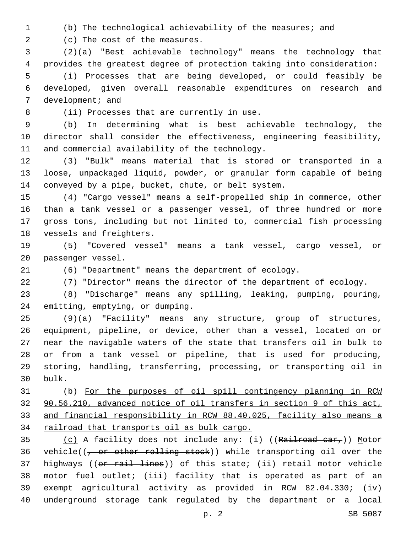(b) The technological achievability of the measures; and

2 (c) The cost of the measures.

 (2)(a) "Best achievable technology" means the technology that provides the greatest degree of protection taking into consideration:

 (i) Processes that are being developed, or could feasibly be developed, given overall reasonable expenditures on research and 7 development; and

8 (ii) Processes that are currently in use.

 (b) In determining what is best achievable technology, the director shall consider the effectiveness, engineering feasibility, 11 and commercial availability of the technology.

 (3) "Bulk" means material that is stored or transported in a loose, unpackaged liquid, powder, or granular form capable of being conveyed by a pipe, bucket, chute, or belt system.

 (4) "Cargo vessel" means a self-propelled ship in commerce, other than a tank vessel or a passenger vessel, of three hundred or more gross tons, including but not limited to, commercial fish processing 18 vessels and freighters.

 (5) "Covered vessel" means a tank vessel, cargo vessel, or 20 passenger vessel.

(6) "Department" means the department of ecology.

(7) "Director" means the director of the department of ecology.

 (8) "Discharge" means any spilling, leaking, pumping, pouring, 24 emitting, emptying, or dumping.

 (9)(a) "Facility" means any structure, group of structures, equipment, pipeline, or device, other than a vessel, located on or near the navigable waters of the state that transfers oil in bulk to or from a tank vessel or pipeline, that is used for producing, storing, handling, transferring, processing, or transporting oil in 30 bulk.

 (b) For the purposes of oil spill contingency planning in RCW 90.56.210, advanced notice of oil transfers in section 9 of this act, and financial responsibility in RCW 88.40.025, facility also means a railroad that transports oil as bulk cargo.

35 (c) A facility does not include any: (i) ((Railroad car,)) Motor 36 vehicle( $(-$  or other rolling stock)) while transporting oil over the 37 highways ((or rail lines)) of this state; (ii) retail motor vehicle motor fuel outlet; (iii) facility that is operated as part of an exempt agricultural activity as provided in RCW 82.04.330; (iv) underground storage tank regulated by the department or a local

p. 2 SB 5087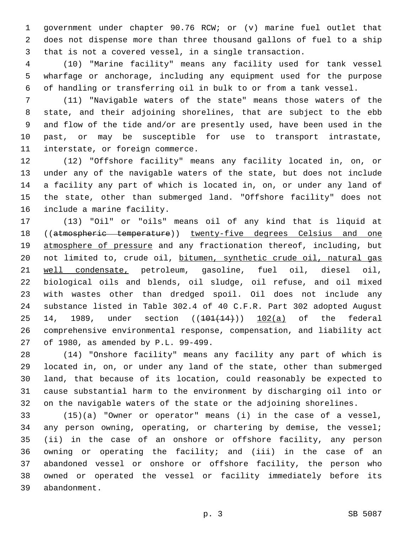government under chapter 90.76 RCW; or (v) marine fuel outlet that does not dispense more than three thousand gallons of fuel to a ship that is not a covered vessel, in a single transaction.

 (10) "Marine facility" means any facility used for tank vessel wharfage or anchorage, including any equipment used for the purpose of handling or transferring oil in bulk to or from a tank vessel.

 (11) "Navigable waters of the state" means those waters of the state, and their adjoining shorelines, that are subject to the ebb and flow of the tide and/or are presently used, have been used in the past, or may be susceptible for use to transport intrastate, 11 interstate, or foreign commerce.

 (12) "Offshore facility" means any facility located in, on, or under any of the navigable waters of the state, but does not include a facility any part of which is located in, on, or under any land of the state, other than submerged land. "Offshore facility" does not 16 include a marine facility.

 (13) "Oil" or "oils" means oil of any kind that is liquid at ((atmospheric temperature)) twenty-five degrees Celsius and one atmosphere of pressure and any fractionation thereof, including, but not limited to, crude oil, bitumen, synthetic crude oil, natural gas well condensate, petroleum, gasoline, fuel oil, diesel oil, biological oils and blends, oil sludge, oil refuse, and oil mixed with wastes other than dredged spoil. Oil does not include any substance listed in Table 302.4 of 40 C.F.R. Part 302 adopted August 25 14, 1989, under section  $((101(14))$   $102(a)$  of the federal comprehensive environmental response, compensation, and liability act 27 of 1980, as amended by P.L. 99-499.

 (14) "Onshore facility" means any facility any part of which is located in, on, or under any land of the state, other than submerged land, that because of its location, could reasonably be expected to cause substantial harm to the environment by discharging oil into or on the navigable waters of the state or the adjoining shorelines.

 (15)(a) "Owner or operator" means (i) in the case of a vessel, 34 any person owning, operating, or chartering by demise, the vessel; (ii) in the case of an onshore or offshore facility, any person owning or operating the facility; and (iii) in the case of an abandoned vessel or onshore or offshore facility, the person who owned or operated the vessel or facility immediately before its abandonment.39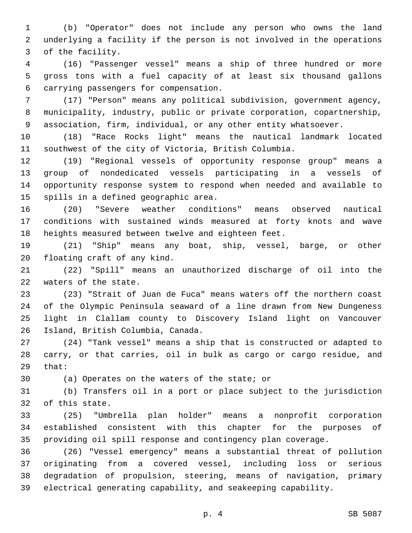(b) "Operator" does not include any person who owns the land underlying a facility if the person is not involved in the operations 3 of the facility.

 (16) "Passenger vessel" means a ship of three hundred or more gross tons with a fuel capacity of at least six thousand gallons carrying passengers for compensation.6

 (17) "Person" means any political subdivision, government agency, municipality, industry, public or private corporation, copartnership, association, firm, individual, or any other entity whatsoever.

 (18) "Race Rocks light" means the nautical landmark located southwest of the city of Victoria, British Columbia.

 (19) "Regional vessels of opportunity response group" means a group of nondedicated vessels participating in a vessels of opportunity response system to respond when needed and available to 15 spills in a defined geographic area.

 (20) "Severe weather conditions" means observed nautical conditions with sustained winds measured at forty knots and wave heights measured between twelve and eighteen feet.

 (21) "Ship" means any boat, ship, vessel, barge, or other 20 floating craft of any kind.

 (22) "Spill" means an unauthorized discharge of oil into the 22 waters of the state.

 (23) "Strait of Juan de Fuca" means waters off the northern coast of the Olympic Peninsula seaward of a line drawn from New Dungeness light in Clallam county to Discovery Island light on Vancouver 26 Island, British Columbia, Canada.

 (24) "Tank vessel" means a ship that is constructed or adapted to carry, or that carries, oil in bulk as cargo or cargo residue, and that:

30 (a) Operates on the waters of the state; or

 (b) Transfers oil in a port or place subject to the jurisdiction 32 of this state.

 (25) "Umbrella plan holder" means a nonprofit corporation established consistent with this chapter for the purposes of providing oil spill response and contingency plan coverage.

 (26) "Vessel emergency" means a substantial threat of pollution originating from a covered vessel, including loss or serious degradation of propulsion, steering, means of navigation, primary electrical generating capability, and seakeeping capability.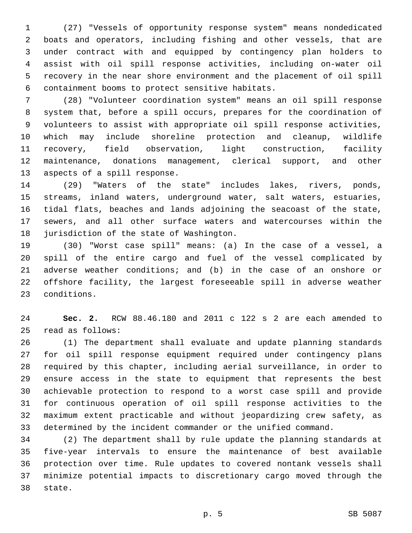(27) "Vessels of opportunity response system" means nondedicated boats and operators, including fishing and other vessels, that are under contract with and equipped by contingency plan holders to assist with oil spill response activities, including on-water oil recovery in the near shore environment and the placement of oil spill containment booms to protect sensitive habitats.6

 (28) "Volunteer coordination system" means an oil spill response system that, before a spill occurs, prepares for the coordination of volunteers to assist with appropriate oil spill response activities, which may include shoreline protection and cleanup, wildlife recovery, field observation, light construction, facility maintenance, donations management, clerical support, and other 13 aspects of a spill response.

 (29) "Waters of the state" includes lakes, rivers, ponds, streams, inland waters, underground water, salt waters, estuaries, tidal flats, beaches and lands adjoining the seacoast of the state, sewers, and all other surface waters and watercourses within the 18 jurisdiction of the state of Washington.

 (30) "Worst case spill" means: (a) In the case of a vessel, a spill of the entire cargo and fuel of the vessel complicated by adverse weather conditions; and (b) in the case of an onshore or offshore facility, the largest foreseeable spill in adverse weather 23 conditions.

 **Sec. 2.** RCW 88.46.180 and 2011 c 122 s 2 are each amended to read as follows:25

 (1) The department shall evaluate and update planning standards for oil spill response equipment required under contingency plans required by this chapter, including aerial surveillance, in order to ensure access in the state to equipment that represents the best achievable protection to respond to a worst case spill and provide for continuous operation of oil spill response activities to the maximum extent practicable and without jeopardizing crew safety, as determined by the incident commander or the unified command.

 (2) The department shall by rule update the planning standards at five-year intervals to ensure the maintenance of best available protection over time. Rule updates to covered nontank vessels shall minimize potential impacts to discretionary cargo moved through the 38 state.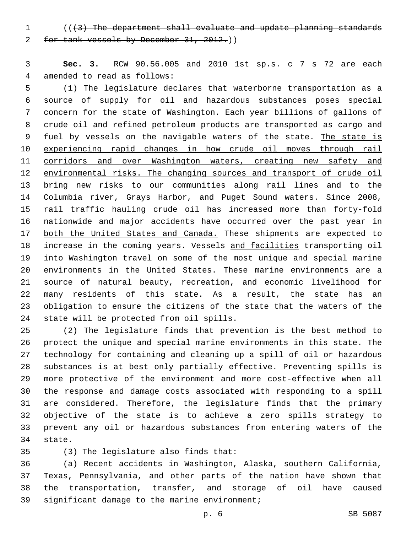(((3) The department shall evaluate and update planning standards for tank vessels by December 31, 2012.))

 **Sec. 3.** RCW 90.56.005 and 2010 1st sp.s. c 7 s 72 are each 4 amended to read as follows:

 (1) The legislature declares that waterborne transportation as a source of supply for oil and hazardous substances poses special concern for the state of Washington. Each year billions of gallons of crude oil and refined petroleum products are transported as cargo and 9 fuel by vessels on the navigable waters of the state. The state is experiencing rapid changes in how crude oil moves through rail 11 corridors and over Washington waters, creating new safety and 12 environmental risks. The changing sources and transport of crude oil bring new risks to our communities along rail lines and to the 14 Columbia river, Grays Harbor, and Puget Sound waters. Since 2008, 15 rail traffic hauling crude oil has increased more than forty-fold nationwide and major accidents have occurred over the past year in both the United States and Canada. These shipments are expected to increase in the coming years. Vessels and facilities transporting oil into Washington travel on some of the most unique and special marine environments in the United States. These marine environments are a source of natural beauty, recreation, and economic livelihood for many residents of this state. As a result, the state has an obligation to ensure the citizens of the state that the waters of the 24 state will be protected from oil spills.

 (2) The legislature finds that prevention is the best method to protect the unique and special marine environments in this state. The technology for containing and cleaning up a spill of oil or hazardous substances is at best only partially effective. Preventing spills is more protective of the environment and more cost-effective when all the response and damage costs associated with responding to a spill are considered. Therefore, the legislature finds that the primary objective of the state is to achieve a zero spills strategy to prevent any oil or hazardous substances from entering waters of the 34 state.

(3) The legislature also finds that:35

 (a) Recent accidents in Washington, Alaska, southern California, Texas, Pennsylvania, and other parts of the nation have shown that the transportation, transfer, and storage of oil have caused 39 significant damage to the marine environment;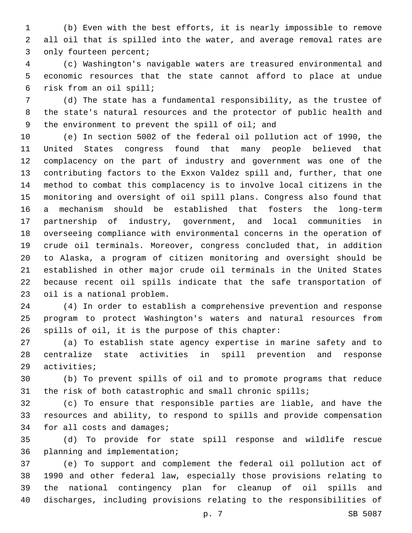(b) Even with the best efforts, it is nearly impossible to remove all oil that is spilled into the water, and average removal rates are 3 only fourteen percent;

 (c) Washington's navigable waters are treasured environmental and economic resources that the state cannot afford to place at undue risk from an oil spill;6

 (d) The state has a fundamental responsibility, as the trustee of the state's natural resources and the protector of public health and 9 the environment to prevent the spill of oil; and

 (e) In section 5002 of the federal oil pollution act of 1990, the United States congress found that many people believed that complacency on the part of industry and government was one of the contributing factors to the Exxon Valdez spill and, further, that one method to combat this complacency is to involve local citizens in the monitoring and oversight of oil spill plans. Congress also found that a mechanism should be established that fosters the long-term partnership of industry, government, and local communities in overseeing compliance with environmental concerns in the operation of crude oil terminals. Moreover, congress concluded that, in addition to Alaska, a program of citizen monitoring and oversight should be established in other major crude oil terminals in the United States because recent oil spills indicate that the safe transportation of 23 oil is a national problem.

 (4) In order to establish a comprehensive prevention and response program to protect Washington's waters and natural resources from 26 spills of oil, it is the purpose of this chapter:

 (a) To establish state agency expertise in marine safety and to centralize state activities in spill prevention and response 29 activities;

 (b) To prevent spills of oil and to promote programs that reduce the risk of both catastrophic and small chronic spills;

 (c) To ensure that responsible parties are liable, and have the resources and ability, to respond to spills and provide compensation 34 for all costs and damages;

 (d) To provide for state spill response and wildlife rescue 36 planning and implementation;

 (e) To support and complement the federal oil pollution act of 1990 and other federal law, especially those provisions relating to the national contingency plan for cleanup of oil spills and discharges, including provisions relating to the responsibilities of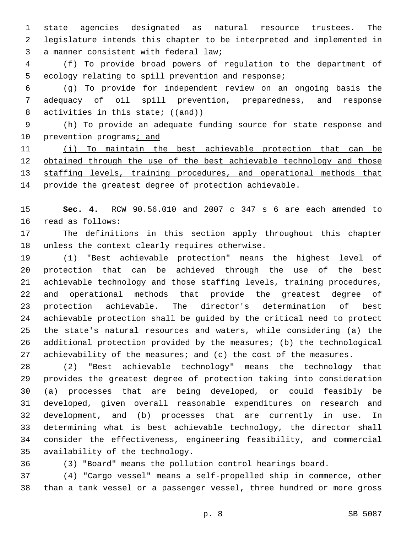state agencies designated as natural resource trustees. The legislature intends this chapter to be interpreted and implemented in 3 a manner consistent with federal law;

 (f) To provide broad powers of regulation to the department of 5 ecology relating to spill prevention and response;

 (g) To provide for independent review on an ongoing basis the adequacy of oil spill prevention, preparedness, and response 8 activities in this state; ((and))

 (h) To provide an adequate funding source for state response and 10 prevention programs; and

 (i) To maintain the best achievable protection that can be 12 obtained through the use of the best achievable technology and those 13 staffing levels, training procedures, and operational methods that 14 provide the greatest degree of protection achievable.

 **Sec. 4.** RCW 90.56.010 and 2007 c 347 s 6 are each amended to 16 read as follows:

 The definitions in this section apply throughout this chapter 18 unless the context clearly requires otherwise.

 (1) "Best achievable protection" means the highest level of protection that can be achieved through the use of the best achievable technology and those staffing levels, training procedures, and operational methods that provide the greatest degree of protection achievable. The director's determination of best achievable protection shall be guided by the critical need to protect the state's natural resources and waters, while considering (a) the additional protection provided by the measures; (b) the technological 27 achievability of the measures; and (c) the cost of the measures.

 (2) "Best achievable technology" means the technology that provides the greatest degree of protection taking into consideration (a) processes that are being developed, or could feasibly be developed, given overall reasonable expenditures on research and development, and (b) processes that are currently in use. In determining what is best achievable technology, the director shall consider the effectiveness, engineering feasibility, and commercial 35 availability of the technology.

(3) "Board" means the pollution control hearings board.

 (4) "Cargo vessel" means a self-propelled ship in commerce, other than a tank vessel or a passenger vessel, three hundred or more gross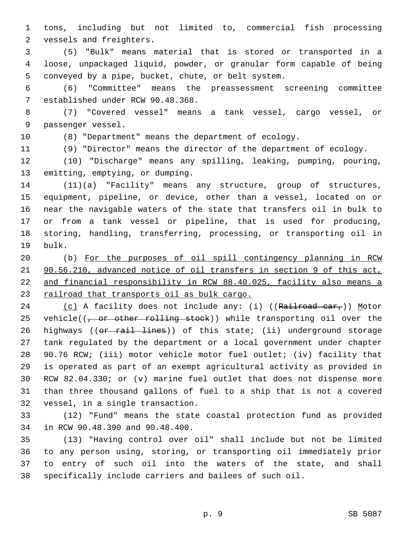tons, including but not limited to, commercial fish processing 2 vessels and freighters.

 (5) "Bulk" means material that is stored or transported in a loose, unpackaged liquid, powder, or granular form capable of being 5 conveyed by a pipe, bucket, chute, or belt system.

 (6) "Committee" means the preassessment screening committee 7 established under RCW 90.48.368.

 (7) "Covered vessel" means a tank vessel, cargo vessel, or 9 passenger vessel.

(8) "Department" means the department of ecology.

(9) "Director" means the director of the department of ecology.

 (10) "Discharge" means any spilling, leaking, pumping, pouring, 13 emitting, emptying, or dumping.

 (11)(a) "Facility" means any structure, group of structures, equipment, pipeline, or device, other than a vessel, located on or near the navigable waters of the state that transfers oil in bulk to or from a tank vessel or pipeline, that is used for producing, storing, handling, transferring, processing, or transporting oil in 19 bulk.

 (b) For the purposes of oil spill contingency planning in RCW 90.56.210, advanced notice of oil transfers in section 9 of this act, and financial responsibility in RCW 88.40.025, facility also means a 23 railroad that transports oil as bulk cargo.

24 (c) A facility does not include any: (i) ((Railroad car,)) Motor 25 vehicle( $(-$  or other rolling stock)) while transporting oil over the 26 highways ((or rail lines)) of this state; (ii) underground storage tank regulated by the department or a local government under chapter 90.76 RCW; (iii) motor vehicle motor fuel outlet; (iv) facility that is operated as part of an exempt agricultural activity as provided in RCW 82.04.330; or (v) marine fuel outlet that does not dispense more than three thousand gallons of fuel to a ship that is not a covered 32 vessel, in a single transaction.

 (12) "Fund" means the state coastal protection fund as provided 34 in RCW 90.48.390 and 90.48.400.

 (13) "Having control over oil" shall include but not be limited to any person using, storing, or transporting oil immediately prior to entry of such oil into the waters of the state, and shall specifically include carriers and bailees of such oil.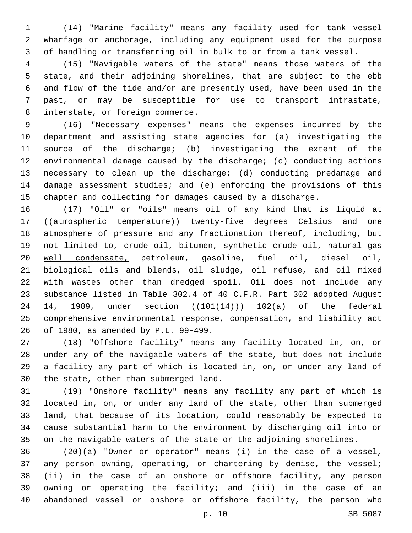(14) "Marine facility" means any facility used for tank vessel wharfage or anchorage, including any equipment used for the purpose of handling or transferring oil in bulk to or from a tank vessel.

 (15) "Navigable waters of the state" means those waters of the state, and their adjoining shorelines, that are subject to the ebb and flow of the tide and/or are presently used, have been used in the past, or may be susceptible for use to transport intrastate, 8 interstate, or foreign commerce.

 (16) "Necessary expenses" means the expenses incurred by the department and assisting state agencies for (a) investigating the source of the discharge; (b) investigating the extent of the environmental damage caused by the discharge; (c) conducting actions necessary to clean up the discharge; (d) conducting predamage and damage assessment studies; and (e) enforcing the provisions of this chapter and collecting for damages caused by a discharge.

 (17) "Oil" or "oils" means oil of any kind that is liquid at ((atmospheric temperature)) twenty-five degrees Celsius and one 18 atmosphere of pressure and any fractionation thereof, including, but 19 not limited to, crude oil, bitumen, synthetic crude oil, natural gas well condensate, petroleum, gasoline, fuel oil, diesel oil, biological oils and blends, oil sludge, oil refuse, and oil mixed with wastes other than dredged spoil. Oil does not include any substance listed in Table 302.4 of 40 C.F.R. Part 302 adopted August 24 14, 1989, under section  $((101)(14))$  102(a) of the federal comprehensive environmental response, compensation, and liability act of 1980, as amended by P.L. 99-499.26

 (18) "Offshore facility" means any facility located in, on, or under any of the navigable waters of the state, but does not include a facility any part of which is located in, on, or under any land of 30 the state, other than submerged land.

 (19) "Onshore facility" means any facility any part of which is located in, on, or under any land of the state, other than submerged land, that because of its location, could reasonably be expected to cause substantial harm to the environment by discharging oil into or on the navigable waters of the state or the adjoining shorelines.

 (20)(a) "Owner or operator" means (i) in the case of a vessel, any person owning, operating, or chartering by demise, the vessel; (ii) in the case of an onshore or offshore facility, any person owning or operating the facility; and (iii) in the case of an abandoned vessel or onshore or offshore facility, the person who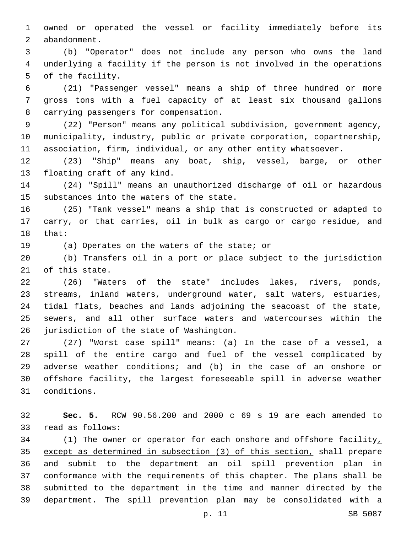owned or operated the vessel or facility immediately before its 2 abandonment.

 (b) "Operator" does not include any person who owns the land underlying a facility if the person is not involved in the operations 5 of the facility.

 (21) "Passenger vessel" means a ship of three hundred or more gross tons with a fuel capacity of at least six thousand gallons 8 carrying passengers for compensation.

 (22) "Person" means any political subdivision, government agency, municipality, industry, public or private corporation, copartnership, association, firm, individual, or any other entity whatsoever.

 (23) "Ship" means any boat, ship, vessel, barge, or other 13 floating craft of any kind.

 (24) "Spill" means an unauthorized discharge of oil or hazardous 15 substances into the waters of the state.

 (25) "Tank vessel" means a ship that is constructed or adapted to carry, or that carries, oil in bulk as cargo or cargo residue, and 18 that:

19 (a) Operates on the waters of the state; or

 (b) Transfers oil in a port or place subject to the jurisdiction 21 of this state.

 (26) "Waters of the state" includes lakes, rivers, ponds, streams, inland waters, underground water, salt waters, estuaries, tidal flats, beaches and lands adjoining the seacoast of the state, sewers, and all other surface waters and watercourses within the 26 jurisdiction of the state of Washington.

 (27) "Worst case spill" means: (a) In the case of a vessel, a spill of the entire cargo and fuel of the vessel complicated by adverse weather conditions; and (b) in the case of an onshore or offshore facility, the largest foreseeable spill in adverse weather conditions.31

 **Sec. 5.** RCW 90.56.200 and 2000 c 69 s 19 are each amended to 33 read as follows:

34 (1) The owner or operator for each onshore and offshore facility, except as determined in subsection (3) of this section, shall prepare and submit to the department an oil spill prevention plan in conformance with the requirements of this chapter. The plans shall be submitted to the department in the time and manner directed by the department. The spill prevention plan may be consolidated with a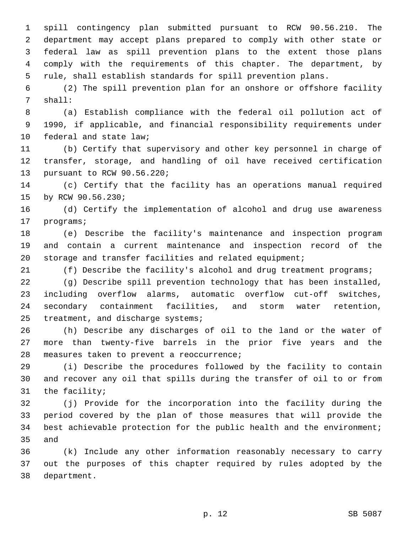spill contingency plan submitted pursuant to RCW 90.56.210. The department may accept plans prepared to comply with other state or federal law as spill prevention plans to the extent those plans comply with the requirements of this chapter. The department, by rule, shall establish standards for spill prevention plans.

 (2) The spill prevention plan for an onshore or offshore facility 7 shall:

 (a) Establish compliance with the federal oil pollution act of 1990, if applicable, and financial responsibility requirements under 10 federal and state law;

 (b) Certify that supervisory and other key personnel in charge of transfer, storage, and handling of oil have received certification 13 pursuant to RCW 90.56.220;

 (c) Certify that the facility has an operations manual required 15 by RCW 90.56.230;

 (d) Certify the implementation of alcohol and drug use awareness 17 programs;

 (e) Describe the facility's maintenance and inspection program and contain a current maintenance and inspection record of the storage and transfer facilities and related equipment;

(f) Describe the facility's alcohol and drug treatment programs;

 (g) Describe spill prevention technology that has been installed, including overflow alarms, automatic overflow cut-off switches, secondary containment facilities, and storm water retention, 25 treatment, and discharge systems;

 (h) Describe any discharges of oil to the land or the water of more than twenty-five barrels in the prior five years and the 28 measures taken to prevent a reoccurrence;

 (i) Describe the procedures followed by the facility to contain and recover any oil that spills during the transfer of oil to or from 31 the facility;

 (j) Provide for the incorporation into the facility during the period covered by the plan of those measures that will provide the best achievable protection for the public health and the environment; 35 and

 (k) Include any other information reasonably necessary to carry out the purposes of this chapter required by rules adopted by the 38 department.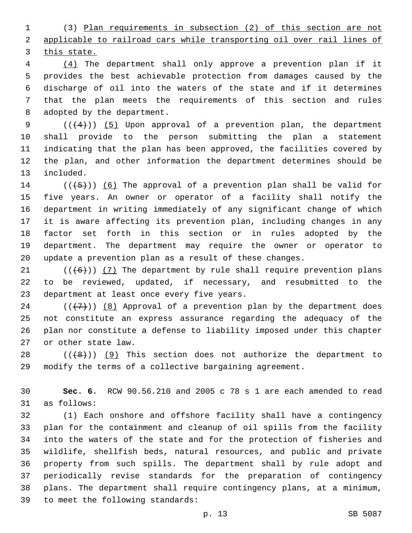(3) Plan requirements in subsection (2) of this section are not applicable to railroad cars while transporting oil over rail lines of this state.

 (4) The department shall only approve a prevention plan if it provides the best achievable protection from damages caused by the discharge of oil into the waters of the state and if it determines that the plan meets the requirements of this section and rules 8 adopted by the department.

9 ( $(\langle 4 \rangle)$ ) (5) Upon approval of a prevention plan, the department shall provide to the person submitting the plan a statement indicating that the plan has been approved, the facilities covered by the plan, and other information the department determines should be 13 included.

 $((+5+))$  (6) The approval of a prevention plan shall be valid for five years. An owner or operator of a facility shall notify the department in writing immediately of any significant change of which it is aware affecting its prevention plan, including changes in any factor set forth in this section or in rules adopted by the department. The department may require the owner or operator to update a prevention plan as a result of these changes.

21  $((+6))$   $(7)$  The department by rule shall require prevention plans to be reviewed, updated, if necessary, and resubmitted to the 23 department at least once every five years.

24 ( $(\overline{+7})$ ) (8) Approval of a prevention plan by the department does not constitute an express assurance regarding the adequacy of the plan nor constitute a defense to liability imposed under this chapter 27 or other state law.

28  $((+8))$   $(9)$  This section does not authorize the department to modify the terms of a collective bargaining agreement.

 **Sec. 6.** RCW 90.56.210 and 2005 c 78 s 1 are each amended to read 31 as follows:

 (1) Each onshore and offshore facility shall have a contingency plan for the containment and cleanup of oil spills from the facility into the waters of the state and for the protection of fisheries and wildlife, shellfish beds, natural resources, and public and private property from such spills. The department shall by rule adopt and periodically revise standards for the preparation of contingency plans. The department shall require contingency plans, at a minimum, 39 to meet the following standards: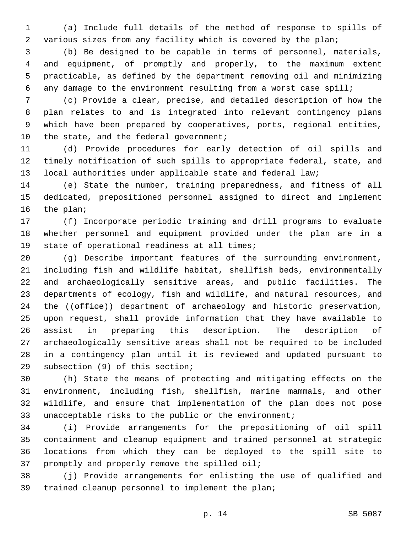(a) Include full details of the method of response to spills of various sizes from any facility which is covered by the plan;

 (b) Be designed to be capable in terms of personnel, materials, and equipment, of promptly and properly, to the maximum extent practicable, as defined by the department removing oil and minimizing any damage to the environment resulting from a worst case spill;

 (c) Provide a clear, precise, and detailed description of how the plan relates to and is integrated into relevant contingency plans which have been prepared by cooperatives, ports, regional entities, 10 the state, and the federal government;

 (d) Provide procedures for early detection of oil spills and timely notification of such spills to appropriate federal, state, and local authorities under applicable state and federal law;

 (e) State the number, training preparedness, and fitness of all dedicated, prepositioned personnel assigned to direct and implement 16 the plan;

 (f) Incorporate periodic training and drill programs to evaluate whether personnel and equipment provided under the plan are in a 19 state of operational readiness at all times;

 (g) Describe important features of the surrounding environment, including fish and wildlife habitat, shellfish beds, environmentally and archaeologically sensitive areas, and public facilities. The departments of ecology, fish and wildlife, and natural resources, and 24 the ((office)) department of archaeology and historic preservation, upon request, shall provide information that they have available to assist in preparing this description. The description of archaeologically sensitive areas shall not be required to be included in a contingency plan until it is reviewed and updated pursuant to 29 subsection (9) of this section;

 (h) State the means of protecting and mitigating effects on the environment, including fish, shellfish, marine mammals, and other wildlife, and ensure that implementation of the plan does not pose unacceptable risks to the public or the environment;

 (i) Provide arrangements for the prepositioning of oil spill containment and cleanup equipment and trained personnel at strategic locations from which they can be deployed to the spill site to 37 promptly and properly remove the spilled oil;

 (j) Provide arrangements for enlisting the use of qualified and 39 trained cleanup personnel to implement the plan;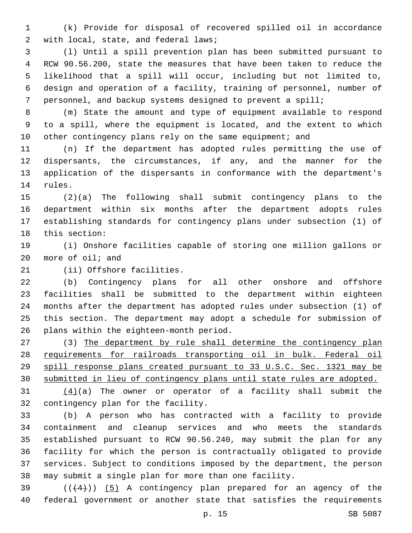(k) Provide for disposal of recovered spilled oil in accordance 2 with local, state, and federal laws;

 (l) Until a spill prevention plan has been submitted pursuant to RCW 90.56.200, state the measures that have been taken to reduce the likelihood that a spill will occur, including but not limited to, design and operation of a facility, training of personnel, number of personnel, and backup systems designed to prevent a spill;

 (m) State the amount and type of equipment available to respond to a spill, where the equipment is located, and the extent to which 10 other contingency plans rely on the same equipment; and

 (n) If the department has adopted rules permitting the use of dispersants, the circumstances, if any, and the manner for the application of the dispersants in conformance with the department's 14 rules.

 (2)(a) The following shall submit contingency plans to the department within six months after the department adopts rules establishing standards for contingency plans under subsection (1) of 18 this section:

 (i) Onshore facilities capable of storing one million gallons or more of oil; and

21 (ii) Offshore facilities.

 (b) Contingency plans for all other onshore and offshore facilities shall be submitted to the department within eighteen months after the department has adopted rules under subsection (1) of this section. The department may adopt a schedule for submission of 26 plans within the eighteen-month period.

 (3) The department by rule shall determine the contingency plan requirements for railroads transporting oil in bulk. Federal oil spill response plans created pursuant to 33 U.S.C. Sec. 1321 may be submitted in lieu of contingency plans until state rules are adopted.

31  $(4)(a)$  The owner or operator of a facility shall submit the 32 contingency plan for the facility.

 (b) A person who has contracted with a facility to provide containment and cleanup services and who meets the standards established pursuant to RCW 90.56.240, may submit the plan for any facility for which the person is contractually obligated to provide services. Subject to conditions imposed by the department, the person may submit a single plan for more than one facility.

 ( $(44)$ )) (5) A contingency plan prepared for an agency of the federal government or another state that satisfies the requirements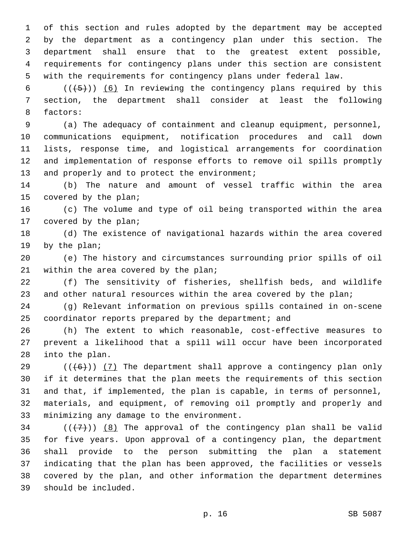of this section and rules adopted by the department may be accepted by the department as a contingency plan under this section. The department shall ensure that to the greatest extent possible, requirements for contingency plans under this section are consistent with the requirements for contingency plans under federal law.

6  $((+5))$   $(6)$  In reviewing the contingency plans required by this section, the department shall consider at least the following 8 factors:

 (a) The adequacy of containment and cleanup equipment, personnel, communications equipment, notification procedures and call down lists, response time, and logistical arrangements for coordination and implementation of response efforts to remove oil spills promptly 13 and properly and to protect the environment;

 (b) The nature and amount of vessel traffic within the area 15 covered by the plan;

 (c) The volume and type of oil being transported within the area 17 covered by the plan;

 (d) The existence of navigational hazards within the area covered 19 by the plan;

 (e) The history and circumstances surrounding prior spills of oil 21 within the area covered by the plan;

 (f) The sensitivity of fisheries, shellfish beds, and wildlife 23 and other natural resources within the area covered by the plan;

 (g) Relevant information on previous spills contained in on-scene coordinator reports prepared by the department; and

 (h) The extent to which reasonable, cost-effective measures to prevent a likelihood that a spill will occur have been incorporated 28 into the plan.

 $((+6))$  (7) The department shall approve a contingency plan only if it determines that the plan meets the requirements of this section and that, if implemented, the plan is capable, in terms of personnel, materials, and equipment, of removing oil promptly and properly and 33 minimizing any damage to the environment.

 $(1+7)$ )  $(8)$  The approval of the contingency plan shall be valid for five years. Upon approval of a contingency plan, the department shall provide to the person submitting the plan a statement indicating that the plan has been approved, the facilities or vessels covered by the plan, and other information the department determines should be included.39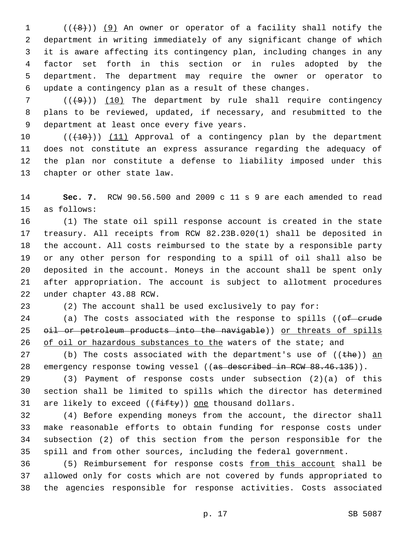(( $(8)$ )) (9) An owner or operator of a facility shall notify the department in writing immediately of any significant change of which it is aware affecting its contingency plan, including changes in any factor set forth in this section or in rules adopted by the department. The department may require the owner or operator to update a contingency plan as a result of these changes.

 ( $(\frac{49}{10})$  The department by rule shall require contingency plans to be reviewed, updated, if necessary, and resubmitted to the 9 department at least once every five years.

10 (( $(10)$ )) (11) Approval of a contingency plan by the department does not constitute an express assurance regarding the adequacy of the plan nor constitute a defense to liability imposed under this 13 chapter or other state law.

 **Sec. 7.** RCW 90.56.500 and 2009 c 11 s 9 are each amended to read 15 as follows:

 (1) The state oil spill response account is created in the state treasury. All receipts from RCW 82.23B.020(1) shall be deposited in the account. All costs reimbursed to the state by a responsible party or any other person for responding to a spill of oil shall also be deposited in the account. Moneys in the account shall be spent only after appropriation. The account is subject to allotment procedures 22 under chapter 43.88 RCW.

(2) The account shall be used exclusively to pay for:

24 (a) The costs associated with the response to spills ((of crude 25 oil or petroleum products into the navigable)) or threats of spills 26 of oil or hazardous substances to the waters of the state; and

27 (b) The costs associated with the department's use of  $((the h)$  an 28 emergency response towing vessel ((as described in RCW 88.46.135)).

 (3) Payment of response costs under subsection (2)(a) of this section shall be limited to spills which the director has determined 31 are likely to exceed  $((f\text{-}ff\text{-}f\text{-}g))$  one thousand dollars.

 (4) Before expending moneys from the account, the director shall make reasonable efforts to obtain funding for response costs under subsection (2) of this section from the person responsible for the spill and from other sources, including the federal government.

 (5) Reimbursement for response costs from this account shall be allowed only for costs which are not covered by funds appropriated to the agencies responsible for response activities. Costs associated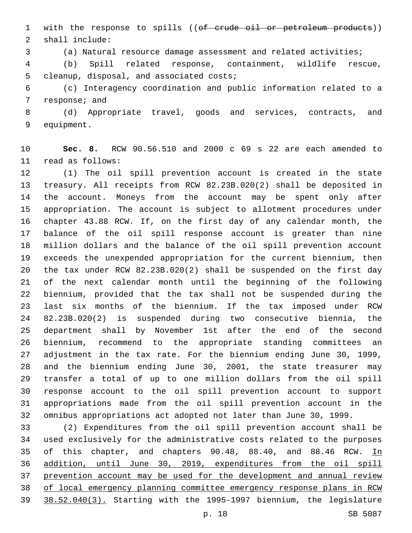1 with the response to spills ((of crude oil or petroleum products)) shall include:2

(a) Natural resource damage assessment and related activities;

 (b) Spill related response, containment, wildlife rescue, 5 cleanup, disposal, and associated costs;

 (c) Interagency coordination and public information related to a 7 response; and

 (d) Appropriate travel, goods and services, contracts, and 9 equipment.

 **Sec. 8.** RCW 90.56.510 and 2000 c 69 s 22 are each amended to read as follows:11

 (1) The oil spill prevention account is created in the state treasury. All receipts from RCW 82.23B.020(2) shall be deposited in the account. Moneys from the account may be spent only after appropriation. The account is subject to allotment procedures under chapter 43.88 RCW. If, on the first day of any calendar month, the balance of the oil spill response account is greater than nine million dollars and the balance of the oil spill prevention account exceeds the unexpended appropriation for the current biennium, then the tax under RCW 82.23B.020(2) shall be suspended on the first day of the next calendar month until the beginning of the following biennium, provided that the tax shall not be suspended during the last six months of the biennium. If the tax imposed under RCW 82.23B.020(2) is suspended during two consecutive biennia, the department shall by November 1st after the end of the second biennium, recommend to the appropriate standing committees an adjustment in the tax rate. For the biennium ending June 30, 1999, and the biennium ending June 30, 2001, the state treasurer may transfer a total of up to one million dollars from the oil spill response account to the oil spill prevention account to support appropriations made from the oil spill prevention account in the omnibus appropriations act adopted not later than June 30, 1999.

 (2) Expenditures from the oil spill prevention account shall be used exclusively for the administrative costs related to the purposes 35 of this chapter, and chapters 90.48, 88.40, and 88.46 RCW. In addition, until June 30, 2019, expenditures from the oil spill prevention account may be used for the development and annual review of local emergency planning committee emergency response plans in RCW 38.52.040(3). Starting with the 1995-1997 biennium, the legislature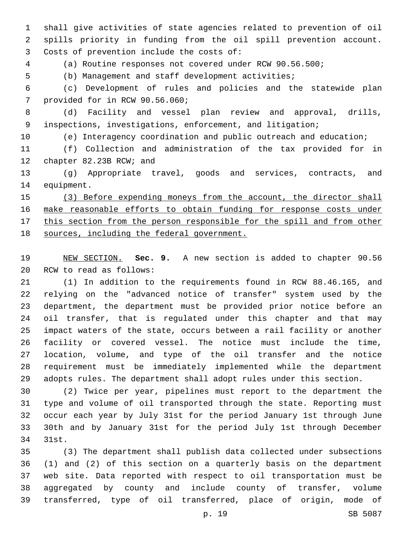shall give activities of state agencies related to prevention of oil spills priority in funding from the oil spill prevention account. 3 Costs of prevention include the costs of:

(a) Routine responses not covered under RCW 90.56.500;

(b) Management and staff development activities;

 (c) Development of rules and policies and the statewide plan 7 provided for in RCW 90.56.060;

 (d) Facility and vessel plan review and approval, drills, inspections, investigations, enforcement, and litigation;

(e) Interagency coordination and public outreach and education;

 (f) Collection and administration of the tax provided for in 12 chapter 82.23B RCW; and

 (g) Appropriate travel, goods and services, contracts, and 14 equipment.

 (3) Before expending moneys from the account, the director shall make reasonable efforts to obtain funding for response costs under 17 this section from the person responsible for the spill and from other sources, including the federal government.

 NEW SECTION. **Sec. 9.** A new section is added to chapter 90.56 20 RCW to read as follows:

 (1) In addition to the requirements found in RCW 88.46.165, and relying on the "advanced notice of transfer" system used by the department, the department must be provided prior notice before an oil transfer, that is regulated under this chapter and that may impact waters of the state, occurs between a rail facility or another facility or covered vessel. The notice must include the time, location, volume, and type of the oil transfer and the notice requirement must be immediately implemented while the department adopts rules. The department shall adopt rules under this section.

 (2) Twice per year, pipelines must report to the department the type and volume of oil transported through the state. Reporting must occur each year by July 31st for the period January 1st through June 30th and by January 31st for the period July 1st through December 34 31st.

 (3) The department shall publish data collected under subsections (1) and (2) of this section on a quarterly basis on the department web site. Data reported with respect to oil transportation must be aggregated by county and include county of transfer, volume transferred, type of oil transferred, place of origin, mode of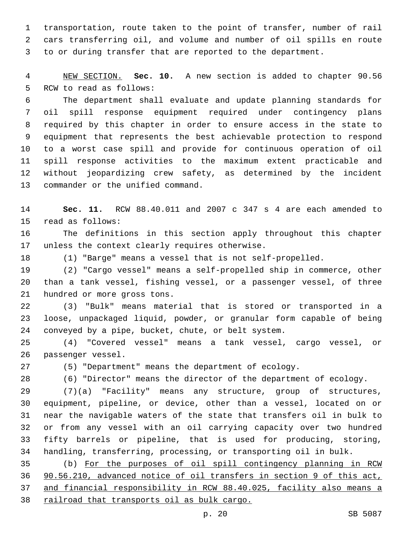transportation, route taken to the point of transfer, number of rail cars transferring oil, and volume and number of oil spills en route to or during transfer that are reported to the department.

 NEW SECTION. **Sec. 10.** A new section is added to chapter 90.56 5 RCW to read as follows:

 The department shall evaluate and update planning standards for oil spill response equipment required under contingency plans required by this chapter in order to ensure access in the state to equipment that represents the best achievable protection to respond to a worst case spill and provide for continuous operation of oil spill response activities to the maximum extent practicable and without jeopardizing crew safety, as determined by the incident 13 commander or the unified command.

 **Sec. 11.** RCW 88.40.011 and 2007 c 347 s 4 are each amended to 15 read as follows:

 The definitions in this section apply throughout this chapter 17 unless the context clearly requires otherwise.

(1) "Barge" means a vessel that is not self-propelled.

 (2) "Cargo vessel" means a self-propelled ship in commerce, other than a tank vessel, fishing vessel, or a passenger vessel, of three 21 hundred or more gross tons.

 (3) "Bulk" means material that is stored or transported in a loose, unpackaged liquid, powder, or granular form capable of being conveyed by a pipe, bucket, chute, or belt system.

 (4) "Covered vessel" means a tank vessel, cargo vessel, or 26 passenger vessel.

(5) "Department" means the department of ecology.

(6) "Director" means the director of the department of ecology.

 (7)(a) "Facility" means any structure, group of structures, equipment, pipeline, or device, other than a vessel, located on or near the navigable waters of the state that transfers oil in bulk to or from any vessel with an oil carrying capacity over two hundred fifty barrels or pipeline, that is used for producing, storing, handling, transferring, processing, or transporting oil in bulk.

 (b) For the purposes of oil spill contingency planning in RCW 90.56.210, advanced notice of oil transfers in section 9 of this act, and financial responsibility in RCW 88.40.025, facility also means a railroad that transports oil as bulk cargo.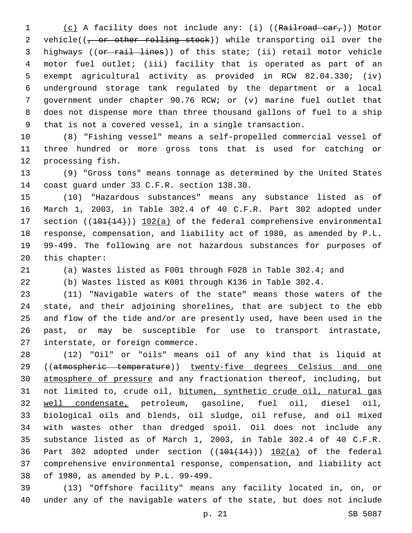1 (c) A facility does not include any: (i) ((Railroad car,)) Motor 2 vehicle((<del>, or other rolling stock</del>)) while transporting oil over the highways ((or rail lines)) of this state; (ii) retail motor vehicle motor fuel outlet; (iii) facility that is operated as part of an exempt agricultural activity as provided in RCW 82.04.330; (iv) underground storage tank regulated by the department or a local government under chapter 90.76 RCW; or (v) marine fuel outlet that does not dispense more than three thousand gallons of fuel to a ship that is not a covered vessel, in a single transaction.

 (8) "Fishing vessel" means a self-propelled commercial vessel of three hundred or more gross tons that is used for catching or 12 processing fish.

 (9) "Gross tons" means tonnage as determined by the United States 14 coast guard under 33 C.F.R. section 138.30.

 (10) "Hazardous substances" means any substance listed as of March 1, 2003, in Table 302.4 of 40 C.F.R. Part 302 adopted under 17 section ((101(14))) 102(a) of the federal comprehensive environmental response, compensation, and liability act of 1980, as amended by P.L. 99-499. The following are not hazardous substances for purposes of 20 this chapter:

(a) Wastes listed as F001 through F028 in Table 302.4; and

(b) Wastes listed as K001 through K136 in Table 302.4.

 (11) "Navigable waters of the state" means those waters of the state, and their adjoining shorelines, that are subject to the ebb and flow of the tide and/or are presently used, have been used in the past, or may be susceptible for use to transport intrastate, 27 interstate, or foreign commerce.

 (12) "Oil" or "oils" means oil of any kind that is liquid at 29 ((atmospheric temperature)) twenty-five degrees Celsius and one atmosphere of pressure and any fractionation thereof, including, but not limited to, crude oil, bitumen, synthetic crude oil, natural gas well condensate, petroleum, gasoline, fuel oil, diesel oil, biological oils and blends, oil sludge, oil refuse, and oil mixed with wastes other than dredged spoil. Oil does not include any substance listed as of March 1, 2003, in Table 302.4 of 40 C.F.R. 36 Part 302 adopted under section  $((101(14))$   $102(a)$  of the federal comprehensive environmental response, compensation, and liability act 38 of 1980, as amended by P.L. 99-499.

 (13) "Offshore facility" means any facility located in, on, or under any of the navigable waters of the state, but does not include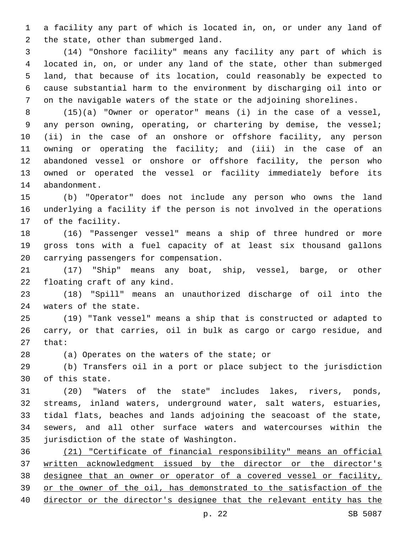a facility any part of which is located in, on, or under any land of 2 the state, other than submerged land.

 (14) "Onshore facility" means any facility any part of which is located in, on, or under any land of the state, other than submerged land, that because of its location, could reasonably be expected to cause substantial harm to the environment by discharging oil into or on the navigable waters of the state or the adjoining shorelines.

 (15)(a) "Owner or operator" means (i) in the case of a vessel, any person owning, operating, or chartering by demise, the vessel; (ii) in the case of an onshore or offshore facility, any person owning or operating the facility; and (iii) in the case of an abandoned vessel or onshore or offshore facility, the person who owned or operated the vessel or facility immediately before its 14 abandonment.

 (b) "Operator" does not include any person who owns the land underlying a facility if the person is not involved in the operations 17 of the facility.

 (16) "Passenger vessel" means a ship of three hundred or more gross tons with a fuel capacity of at least six thousand gallons 20 carrying passengers for compensation.

 (17) "Ship" means any boat, ship, vessel, barge, or other 22 floating craft of any kind.

 (18) "Spill" means an unauthorized discharge of oil into the 24 waters of the state.

 (19) "Tank vessel" means a ship that is constructed or adapted to carry, or that carries, oil in bulk as cargo or cargo residue, and 27 that:

28 (a) Operates on the waters of the state; or

 (b) Transfers oil in a port or place subject to the jurisdiction 30 of this state.

 (20) "Waters of the state" includes lakes, rivers, ponds, streams, inland waters, underground water, salt waters, estuaries, tidal flats, beaches and lands adjoining the seacoast of the state, sewers, and all other surface waters and watercourses within the 35 jurisdiction of the state of Washington.

 (21) "Certificate of financial responsibility" means an official written acknowledgment issued by the director or the director's designee that an owner or operator of a covered vessel or facility, or the owner of the oil, has demonstrated to the satisfaction of the director or the director's designee that the relevant entity has the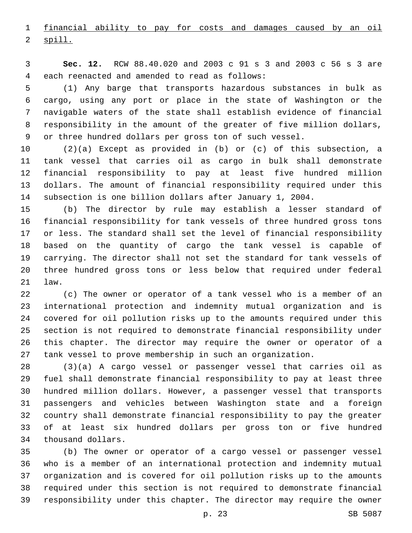financial ability to pay for costs and damages caused by an oil 2 spill.

 **Sec. 12.** RCW 88.40.020 and 2003 c 91 s 3 and 2003 c 56 s 3 are each reenacted and amended to read as follows:4

 (1) Any barge that transports hazardous substances in bulk as cargo, using any port or place in the state of Washington or the navigable waters of the state shall establish evidence of financial responsibility in the amount of the greater of five million dollars, or three hundred dollars per gross ton of such vessel.

 (2)(a) Except as provided in (b) or (c) of this subsection, a tank vessel that carries oil as cargo in bulk shall demonstrate financial responsibility to pay at least five hundred million dollars. The amount of financial responsibility required under this subsection is one billion dollars after January 1, 2004.

 (b) The director by rule may establish a lesser standard of financial responsibility for tank vessels of three hundred gross tons or less. The standard shall set the level of financial responsibility based on the quantity of cargo the tank vessel is capable of carrying. The director shall not set the standard for tank vessels of three hundred gross tons or less below that required under federal 21 law.

 (c) The owner or operator of a tank vessel who is a member of an international protection and indemnity mutual organization and is covered for oil pollution risks up to the amounts required under this section is not required to demonstrate financial responsibility under this chapter. The director may require the owner or operator of a tank vessel to prove membership in such an organization.

 (3)(a) A cargo vessel or passenger vessel that carries oil as fuel shall demonstrate financial responsibility to pay at least three hundred million dollars. However, a passenger vessel that transports passengers and vehicles between Washington state and a foreign country shall demonstrate financial responsibility to pay the greater of at least six hundred dollars per gross ton or five hundred 34 thousand dollars.

 (b) The owner or operator of a cargo vessel or passenger vessel who is a member of an international protection and indemnity mutual organization and is covered for oil pollution risks up to the amounts required under this section is not required to demonstrate financial responsibility under this chapter. The director may require the owner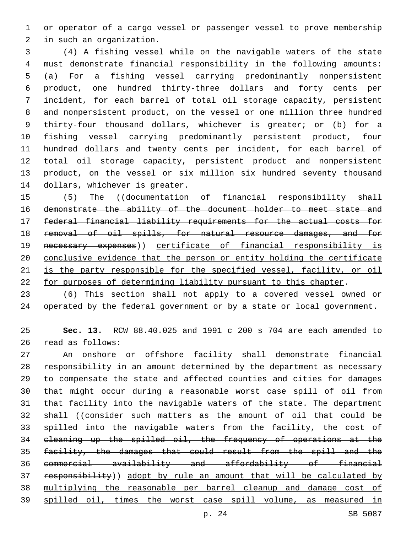or operator of a cargo vessel or passenger vessel to prove membership 2 in such an organization.

 (4) A fishing vessel while on the navigable waters of the state must demonstrate financial responsibility in the following amounts: (a) For a fishing vessel carrying predominantly nonpersistent product, one hundred thirty-three dollars and forty cents per incident, for each barrel of total oil storage capacity, persistent and nonpersistent product, on the vessel or one million three hundred thirty-four thousand dollars, whichever is greater; or (b) for a fishing vessel carrying predominantly persistent product, four hundred dollars and twenty cents per incident, for each barrel of total oil storage capacity, persistent product and nonpersistent product, on the vessel or six million six hundred seventy thousand 14 dollars, whichever is greater.

 (5) The ((documentation of financial responsibility shall demonstrate the ability of the document holder to meet state and federal financial liability requirements for the actual costs for removal of oil spills, for natural resource damages, and for necessary expenses)) certificate of financial responsibility is conclusive evidence that the person or entity holding the certificate is the party responsible for the specified vessel, facility, or oil for purposes of determining liability pursuant to this chapter.

 (6) This section shall not apply to a covered vessel owned or operated by the federal government or by a state or local government.

 **Sec. 13.** RCW 88.40.025 and 1991 c 200 s 704 are each amended to 26 read as follows:

 An onshore or offshore facility shall demonstrate financial responsibility in an amount determined by the department as necessary to compensate the state and affected counties and cities for damages that might occur during a reasonable worst case spill of oil from that facility into the navigable waters of the state. The department shall ((consider such matters as the amount of oil that could be spilled into the navigable waters from the facility, the cost of cleaning up the spilled oil, the frequency of operations at the facility, the damages that could result from the spill and the commercial availability and affordability of financial responsibility)) adopt by rule an amount that will be calculated by multiplying the reasonable per barrel cleanup and damage cost of spilled oil, times the worst case spill volume, as measured in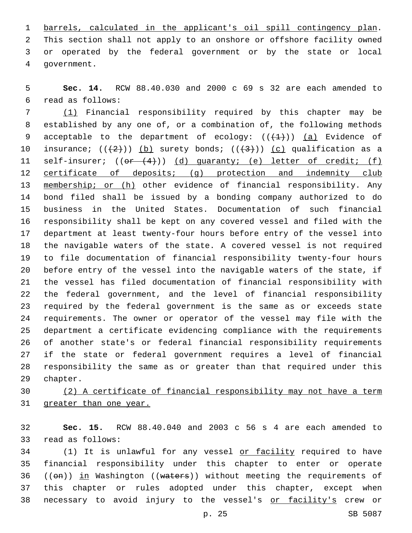barrels, calculated in the applicant's oil spill contingency plan. This section shall not apply to an onshore or offshore facility owned or operated by the federal government or by the state or local 4 government.

 **Sec. 14.** RCW 88.40.030 and 2000 c 69 s 32 are each amended to read as follows:6

 (1) Financial responsibility required by this chapter may be established by any one of, or a combination of, the following methods 9 acceptable to the department of ecology:  $((+1))$   $(a)$  Evidence of 10 insurance;  $((+2)^{n})$  (b) surety bonds;  $((+3)^{n})$  (c) qualification as a 11 self-insurer;  $((or (4)))(d)$  quaranty; (e) letter of credit; (f) 12 certificate of deposits; (g) protection and indemnity club 13 membership; or (h) other evidence of financial responsibility. Any bond filed shall be issued by a bonding company authorized to do business in the United States. Documentation of such financial responsibility shall be kept on any covered vessel and filed with the department at least twenty-four hours before entry of the vessel into the navigable waters of the state. A covered vessel is not required to file documentation of financial responsibility twenty-four hours before entry of the vessel into the navigable waters of the state, if the vessel has filed documentation of financial responsibility with the federal government, and the level of financial responsibility required by the federal government is the same as or exceeds state requirements. The owner or operator of the vessel may file with the department a certificate evidencing compliance with the requirements of another state's or federal financial responsibility requirements if the state or federal government requires a level of financial responsibility the same as or greater than that required under this 29 chapter.

 (2) A certificate of financial responsibility may not have a term greater than one year.

 **Sec. 15.** RCW 88.40.040 and 2003 c 56 s 4 are each amended to 33 read as follows:

 (1) It is unlawful for any vessel or facility required to have financial responsibility under this chapter to enter or operate 36 (( $\Theta$ m)) in Washington (( $\text{waters}$ )) without meeting the requirements of this chapter or rules adopted under this chapter, except when 38 necessary to avoid injury to the vessel's or facility's crew or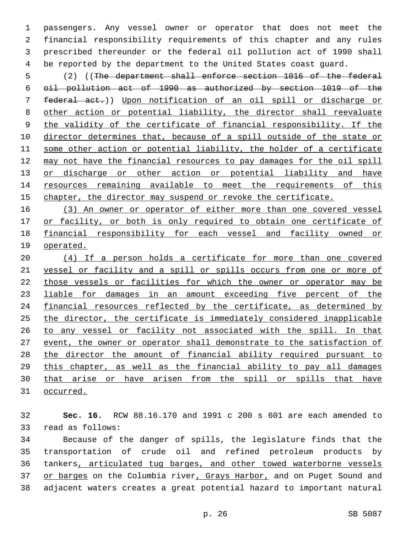passengers. Any vessel owner or operator that does not meet the financial responsibility requirements of this chapter and any rules prescribed thereunder or the federal oil pollution act of 1990 shall be reported by the department to the United States coast guard.

 (2) ((The department shall enforce section 1016 of the federal oil pollution act of 1990 as authorized by section 1019 of the federal act.)) Upon notification of an oil spill or discharge or other action or potential liability, the director shall reevaluate the validity of the certificate of financial responsibility. If the director determines that, because of a spill outside of the state or some other action or potential liability, the holder of a certificate may not have the financial resources to pay damages for the oil spill 13 or discharge or other action or potential liability and have resources remaining available to meet the requirements of this chapter, the director may suspend or revoke the certificate.

 (3) An owner or operator of either more than one covered vessel 17 or facility, or both is only required to obtain one certificate of financial responsibility for each vessel and facility owned or operated.

 (4) If a person holds a certificate for more than one covered vessel or facility and a spill or spills occurs from one or more of those vessels or facilities for which the owner or operator may be liable for damages in an amount exceeding five percent of the 24 financial resources reflected by the certificate, as determined by the director, the certificate is immediately considered inapplicable to any vessel or facility not associated with the spill. In that 27 event, the owner or operator shall demonstrate to the satisfaction of the director the amount of financial ability required pursuant to this chapter, as well as the financial ability to pay all damages that arise or have arisen from the spill or spills that have occurred.

 **Sec. 16.** RCW 88.16.170 and 1991 c 200 s 601 are each amended to 33 read as follows:

 Because of the danger of spills, the legislature finds that the transportation of crude oil and refined petroleum products by tankers, articulated tug barges, and other towed waterborne vessels 37 or barges on the Columbia river, Grays Harbor, and on Puget Sound and adjacent waters creates a great potential hazard to important natural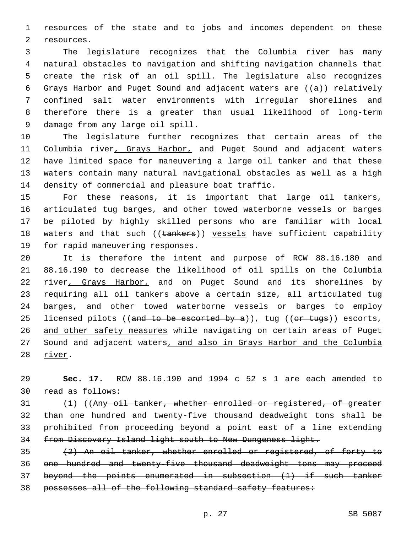resources of the state and to jobs and incomes dependent on these 2 resources.

 The legislature recognizes that the Columbia river has many natural obstacles to navigation and shifting navigation channels that create the risk of an oil spill. The legislature also recognizes Grays Harbor and Puget Sound and adjacent waters are ((a)) relatively confined salt water environments with irregular shorelines and therefore there is a greater than usual likelihood of long-term 9 damage from any large oil spill.

 The legislature further recognizes that certain areas of the 11 Columbia river, Grays Harbor, and Puget Sound and adjacent waters have limited space for maneuvering a large oil tanker and that these waters contain many natural navigational obstacles as well as a high 14 density of commercial and pleasure boat traffic.

15 For these reasons, it is important that large oil tankers, 16 articulated tug barges, and other towed waterborne vessels or barges be piloted by highly skilled persons who are familiar with local 18 waters and that such ((tankers)) vessels have sufficient capability 19 for rapid maneuvering responses.

 It is therefore the intent and purpose of RCW 88.16.180 and 88.16.190 to decrease the likelihood of oil spills on the Columbia 22 river, Grays Harbor, and on Puget Sound and its shorelines by 23 requiring all oil tankers above a certain size, all articulated tug barges, and other towed waterborne vessels or barges to employ 25 licensed pilots ((and to be escorted by a)), tug (( $or$  tugs)) escorts, and other safety measures while navigating on certain areas of Puget Sound and adjacent waters, and also in Grays Harbor and the Columbia 28 river.

 **Sec. 17.** RCW 88.16.190 and 1994 c 52 s 1 are each amended to 30 read as follows:

 (1) ((Any oil tanker, whether enrolled or registered, of greater than one hundred and twenty-five thousand deadweight tons shall be prohibited from proceeding beyond a point east of a line extending from Discovery Island light south to New Dungeness light.

 (2) An oil tanker, whether enrolled or registered, of forty to one hundred and twenty-five thousand deadweight tons may proceed beyond the points enumerated in subsection (1) if such tanker 38 possesses all of the following standard safety features: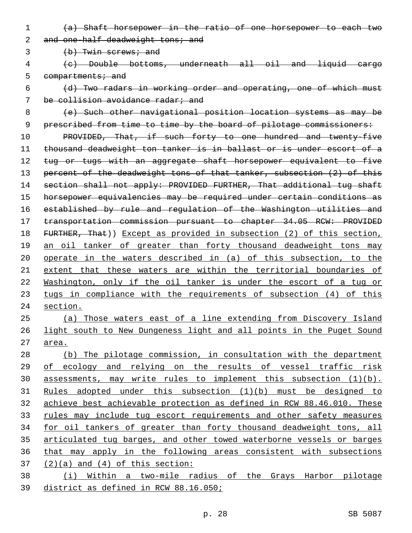(a) Shaft horsepower in the ratio of one horsepower to each two

2 and one-half deadweight tons; and

3 (b) Twin screws; and

- (c) Double bottoms, underneath all oil and liquid cargo 5 compartments; and
- (d) Two radars in working order and operating, one of which must be collision avoidance radar; and
- (e) Such other navigational position location systems as may be 9 prescribed from time to time by the board of pilotage commissioners:

 PROVIDED, That, if such forty to one hundred and twenty-five thousand deadweight ton tanker is in ballast or is under escort of a 12 tug or tugs with an aggregate shaft horsepower equivalent to five 13 percent of the deadweight tons of that tanker, subsection (2) of this 14 section shall not apply: PROVIDED FURTHER, That additional tug shaft horsepower equivalencies may be required under certain conditions as established by rule and regulation of the Washington utilities and transportation commission pursuant to chapter 34.05 RCW: PROVIDED 18 FURTHER, That)) Except as provided in subsection (2) of this section, 19 an oil tanker of greater than forty thousand deadweight tons may operate in the waters described in (a) of this subsection, to the extent that these waters are within the territorial boundaries of Washington, only if the oil tanker is under the escort of a tug or 23 tugs in compliance with the requirements of subsection (4) of this section.

25 (a) Those waters east of a line extending from Discovery Island light south to New Dungeness light and all points in the Puget Sound area.

 (b) The pilotage commission, in consultation with the department of ecology and relying on the results of vessel traffic risk assessments, may write rules to implement this subsection (1)(b). Rules adopted under this subsection (1)(b) must be designed to achieve best achievable protection as defined in RCW 88.46.010. These rules may include tug escort requirements and other safety measures for oil tankers of greater than forty thousand deadweight tons, all articulated tug barges, and other towed waterborne vessels or barges that may apply in the following areas consistent with subsections  $(2)(a)$  and  $(4)$  of this section:

 (i) Within a two-mile radius of the Grays Harbor pilotage district as defined in RCW 88.16.050;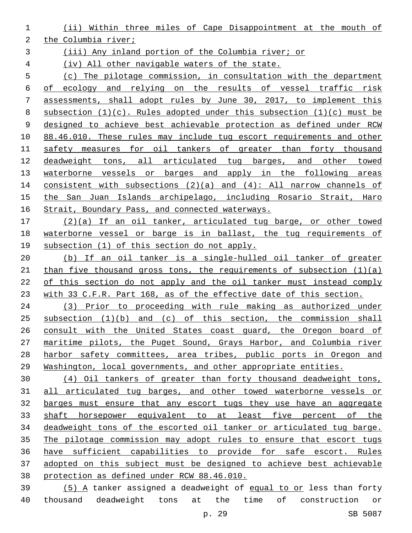(ii) Within three miles of Cape Disappointment at the mouth of

the Columbia river;

(iii) Any inland portion of the Columbia river; or

(iv) All other navigable waters of the state.

 (c) The pilotage commission, in consultation with the department of ecology and relying on the results of vessel traffic risk assessments, shall adopt rules by June 30, 2017, to implement this 8 subsection  $(1)(c)$ . Rules adopted under this subsection  $(1)(c)$  must be designed to achieve best achievable protection as defined under RCW 88.46.010. These rules may include tug escort requirements and other safety measures for oil tankers of greater than forty thousand deadweight tons, all articulated tug barges, and other towed 13 waterborne vessels or barges and apply in the following areas consistent with subsections (2)(a) and (4): All narrow channels of the San Juan Islands archipelago, including Rosario Strait, Haro 16 Strait, Boundary Pass, and connected waterways.

 (2)(a) If an oil tanker, articulated tug barge, or other towed waterborne vessel or barge is in ballast, the tug requirements of subsection (1) of this section do not apply.

 (b) If an oil tanker is a single-hulled oil tanker of greater 21 than five thousand gross tons, the requirements of subsection  $(1)(a)$  of this section do not apply and the oil tanker must instead comply with 33 C.F.R. Part 168, as of the effective date of this section.

 (3) Prior to proceeding with rule making as authorized under subsection (1)(b) and (c) of this section, the commission shall 26 consult with the United States coast guard, the Oregon board of maritime pilots, the Puget Sound, Grays Harbor, and Columbia river harbor safety committees, area tribes, public ports in Oregon and Washington, local governments, and other appropriate entities.

 (4) Oil tankers of greater than forty thousand deadweight tons, all articulated tug barges, and other towed waterborne vessels or barges must ensure that any escort tugs they use have an aggregate shaft horsepower equivalent to at least five percent of the deadweight tons of the escorted oil tanker or articulated tug barge. The pilotage commission may adopt rules to ensure that escort tugs have sufficient capabilities to provide for safe escort. Rules adopted on this subject must be designed to achieve best achievable protection as defined under RCW 88.46.010.

 (5) A tanker assigned a deadweight of equal to or less than forty thousand deadweight tons at the time of construction or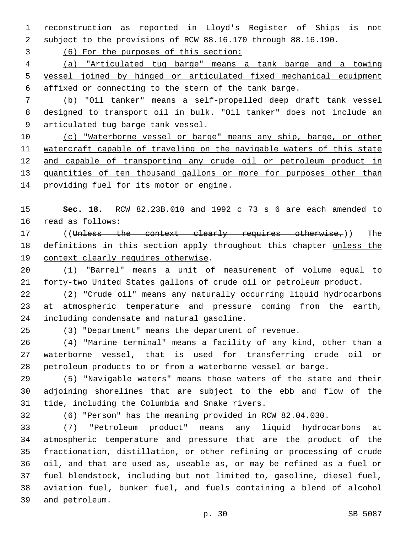reconstruction as reported in Lloyd's Register of Ships is not subject to the provisions of RCW 88.16.170 through 88.16.190.

(6) For the purposes of this section:

 (a) "Articulated tug barge" means a tank barge and a towing vessel joined by hinged or articulated fixed mechanical equipment affixed or connecting to the stern of the tank barge.

 (b) "Oil tanker" means a self-propelled deep draft tank vessel designed to transport oil in bulk. "Oil tanker" does not include an 9 articulated tug barge tank vessel.

 (c) "Waterborne vessel or barge" means any ship, barge, or other watercraft capable of traveling on the navigable waters of this state 12 and capable of transporting any crude oil or petroleum product in 13 quantities of ten thousand gallons or more for purposes other than 14 providing fuel for its motor or engine.

 **Sec. 18.** RCW 82.23B.010 and 1992 c 73 s 6 are each amended to 16 read as follows:

17 ((Unless the context clearly requires otherwise,)) The 18 definitions in this section apply throughout this chapter unless the 19 context clearly requires otherwise.

 (1) "Barrel" means a unit of measurement of volume equal to forty-two United States gallons of crude oil or petroleum product.

 (2) "Crude oil" means any naturally occurring liquid hydrocarbons at atmospheric temperature and pressure coming from the earth, 24 including condensate and natural gasoline.

(3) "Department" means the department of revenue.

 (4) "Marine terminal" means a facility of any kind, other than a waterborne vessel, that is used for transferring crude oil or petroleum products to or from a waterborne vessel or barge.

 (5) "Navigable waters" means those waters of the state and their adjoining shorelines that are subject to the ebb and flow of the 31 tide, including the Columbia and Snake rivers.

(6) "Person" has the meaning provided in RCW 82.04.030.

 (7) "Petroleum product" means any liquid hydrocarbons at atmospheric temperature and pressure that are the product of the fractionation, distillation, or other refining or processing of crude oil, and that are used as, useable as, or may be refined as a fuel or fuel blendstock, including but not limited to, gasoline, diesel fuel, aviation fuel, bunker fuel, and fuels containing a blend of alcohol and petroleum.39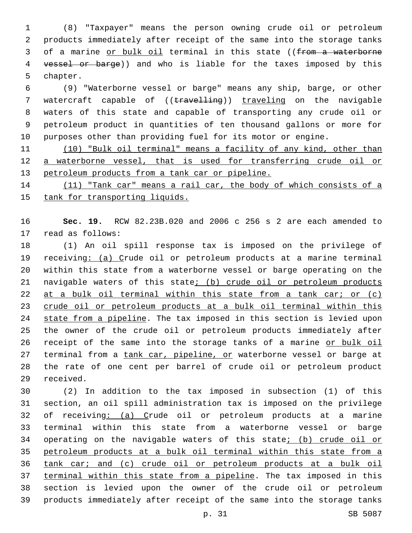(8) "Taxpayer" means the person owning crude oil or petroleum products immediately after receipt of the same into the storage tanks 3 of a marine or bulk oil terminal in this state ((from a waterborne 4 vessel or barge)) and who is liable for the taxes imposed by this 5 chapter.

 (9) "Waterborne vessel or barge" means any ship, barge, or other 7 watercraft capable of ((travelling)) traveling on the navigable waters of this state and capable of transporting any crude oil or petroleum product in quantities of ten thousand gallons or more for purposes other than providing fuel for its motor or engine.

 (10) "Bulk oil terminal" means a facility of any kind, other than a waterborne vessel, that is used for transferring crude oil or petroleum products from a tank car or pipeline.

14 (11) "Tank car" means a rail car, the body of which consists of a tank for transporting liquids.

 **Sec. 19.** RCW 82.23B.020 and 2006 c 256 s 2 are each amended to 17 read as follows:

 (1) An oil spill response tax is imposed on the privilege of receiving: (a) Crude oil or petroleum products at a marine terminal within this state from a waterborne vessel or barge operating on the navigable waters of this state; (b) crude oil or petroleum products 22 at a bulk oil terminal within this state from a tank car; or (c) crude oil or petroleum products at a bulk oil terminal within this 24 state from a pipeline. The tax imposed in this section is levied upon the owner of the crude oil or petroleum products immediately after 26 receipt of the same into the storage tanks of a marine or bulk oil 27 terminal from a tank car, pipeline, or waterborne vessel or barge at the rate of one cent per barrel of crude oil or petroleum product 29 received.

 (2) In addition to the tax imposed in subsection (1) of this section, an oil spill administration tax is imposed on the privilege of receiving: (a) Crude oil or petroleum products at a marine terminal within this state from a waterborne vessel or barge 34 operating on the navigable waters of this state; (b) crude oil or petroleum products at a bulk oil terminal within this state from a tank car; and (c) crude oil or petroleum products at a bulk oil terminal within this state from a pipeline. The tax imposed in this section is levied upon the owner of the crude oil or petroleum products immediately after receipt of the same into the storage tanks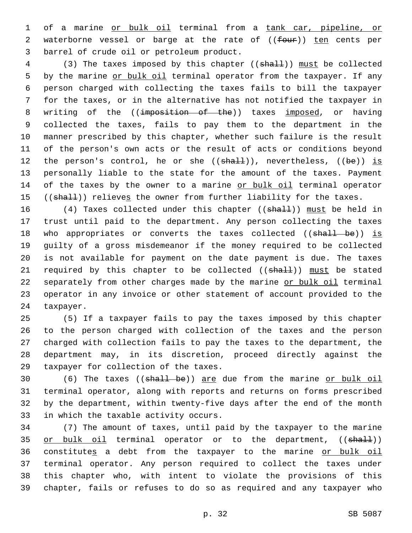1 of a marine or bulk oil terminal from a tank car, pipeline, or 2 waterborne vessel or barge at the rate of ((four)) ten cents per 3 barrel of crude oil or petroleum product.

4 (3) The taxes imposed by this chapter ((shall)) must be collected 5 by the marine or bulk oil terminal operator from the taxpayer. If any 6 person charged with collecting the taxes fails to bill the taxpayer 7 for the taxes, or in the alternative has not notified the taxpayer in 8 writing of the ((imposition of the)) taxes imposed, or having 9 collected the taxes, fails to pay them to the department in the 10 manner prescribed by this chapter, whether such failure is the result 11 of the person's own acts or the result of acts or conditions beyond 12 the person's control, he or she  $((shall))$ , nevertheless,  $((be))$  is 13 personally liable to the state for the amount of the taxes. Payment 14 of the taxes by the owner to a marine or bulk oil terminal operator 15 ((shall)) relieves the owner from further liability for the taxes.

16 (4) Taxes collected under this chapter ((shall)) must be held in 17 trust until paid to the department. Any person collecting the taxes 18 who appropriates or converts the taxes collected ((shall be)) is 19 guilty of a gross misdemeanor if the money required to be collected 20 is not available for payment on the date payment is due. The taxes 21 required by this chapter to be collected ((shall)) must be stated 22 separately from other charges made by the marine or bulk oil terminal 23 operator in any invoice or other statement of account provided to the 24 taxpayer.

 (5) If a taxpayer fails to pay the taxes imposed by this chapter to the person charged with collection of the taxes and the person charged with collection fails to pay the taxes to the department, the department may, in its discretion, proceed directly against the 29 taxpayer for collection of the taxes.

 (6) The taxes ((shall be)) are due from the marine or bulk oil terminal operator, along with reports and returns on forms prescribed by the department, within twenty-five days after the end of the month 33 in which the taxable activity occurs.

 (7) The amount of taxes, until paid by the taxpayer to the marine 35 or bulk oil terminal operator or to the department, ((shall)) 36 constitutes a debt from the taxpayer to the marine or bulk oil terminal operator. Any person required to collect the taxes under this chapter who, with intent to violate the provisions of this chapter, fails or refuses to do so as required and any taxpayer who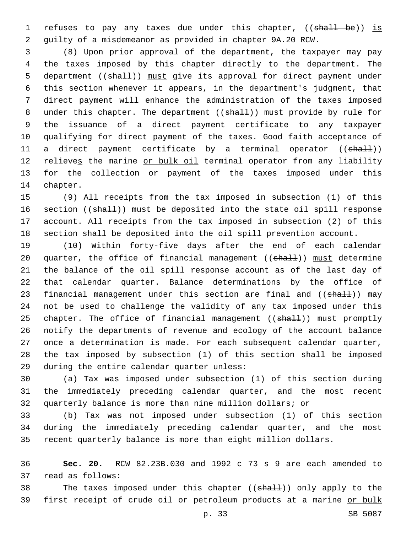1 refuses to pay any taxes due under this chapter, ((shall be)) is guilty of a misdemeanor as provided in chapter 9A.20 RCW.

 (8) Upon prior approval of the department, the taxpayer may pay the taxes imposed by this chapter directly to the department. The 5 department ((shall)) must give its approval for direct payment under this section whenever it appears, in the department's judgment, that direct payment will enhance the administration of the taxes imposed 8 under this chapter. The department ((shall)) must provide by rule for the issuance of a direct payment certificate to any taxpayer qualifying for direct payment of the taxes. Good faith acceptance of 11 a direct payment certificate by a terminal operator ((shall)) 12 relieves the marine or bulk oil terminal operator from any liability for the collection or payment of the taxes imposed under this 14 chapter.

 (9) All receipts from the tax imposed in subsection (1) of this 16 section ((shall)) must be deposited into the state oil spill response account. All receipts from the tax imposed in subsection (2) of this section shall be deposited into the oil spill prevention account.

 (10) Within forty-five days after the end of each calendar 20 quarter, the office of financial management ((shall)) must determine the balance of the oil spill response account as of the last day of that calendar quarter. Balance determinations by the office of 23 financial management under this section are final and ((shall)) may not be used to challenge the validity of any tax imposed under this 25 chapter. The office of financial management ((shall)) must promptly notify the departments of revenue and ecology of the account balance once a determination is made. For each subsequent calendar quarter, the tax imposed by subsection (1) of this section shall be imposed 29 during the entire calendar quarter unless:

 (a) Tax was imposed under subsection (1) of this section during the immediately preceding calendar quarter, and the most recent quarterly balance is more than nine million dollars; or

 (b) Tax was not imposed under subsection (1) of this section during the immediately preceding calendar quarter, and the most recent quarterly balance is more than eight million dollars.

 **Sec. 20.** RCW 82.23B.030 and 1992 c 73 s 9 are each amended to 37 read as follows:

38 The taxes imposed under this chapter ((shall)) only apply to the first receipt of crude oil or petroleum products at a marine or bulk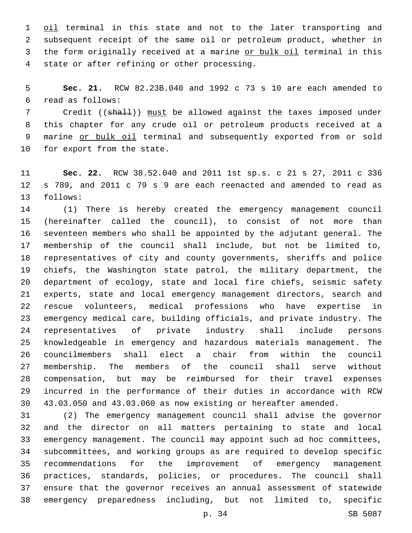1 oil terminal in this state and not to the later transporting and subsequent receipt of the same oil or petroleum product, whether in the form originally received at a marine or bulk oil terminal in this 4 state or after refining or other processing.

 **Sec. 21.** RCW 82.23B.040 and 1992 c 73 s 10 are each amended to read as follows:6

7 Credit ((shall)) must be allowed against the taxes imposed under this chapter for any crude oil or petroleum products received at a marine or bulk oil terminal and subsequently exported from or sold 10 for export from the state.

 **Sec. 22.** RCW 38.52.040 and 2011 1st sp.s. c 21 s 27, 2011 c 336 s 789, and 2011 c 79 s 9 are each reenacted and amended to read as 13 follows:

 (1) There is hereby created the emergency management council (hereinafter called the council), to consist of not more than seventeen members who shall be appointed by the adjutant general. The membership of the council shall include, but not be limited to, representatives of city and county governments, sheriffs and police chiefs, the Washington state patrol, the military department, the department of ecology, state and local fire chiefs, seismic safety experts, state and local emergency management directors, search and rescue volunteers, medical professions who have expertise in emergency medical care, building officials, and private industry. The representatives of private industry shall include persons knowledgeable in emergency and hazardous materials management. The councilmembers shall elect a chair from within the council membership. The members of the council shall serve without compensation, but may be reimbursed for their travel expenses incurred in the performance of their duties in accordance with RCW 43.03.050 and 43.03.060 as now existing or hereafter amended.

 (2) The emergency management council shall advise the governor and the director on all matters pertaining to state and local emergency management. The council may appoint such ad hoc committees, subcommittees, and working groups as are required to develop specific recommendations for the improvement of emergency management practices, standards, policies, or procedures. The council shall ensure that the governor receives an annual assessment of statewide emergency preparedness including, but not limited to, specific

p. 34 SB 5087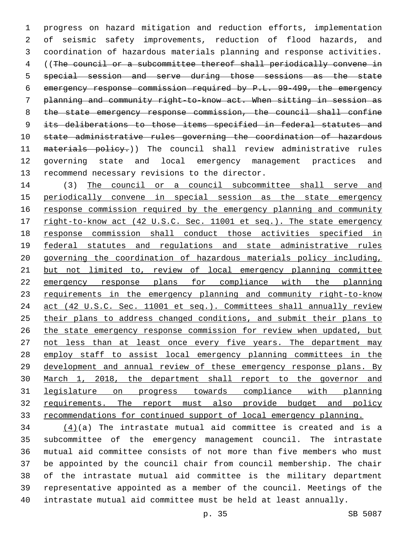progress on hazard mitigation and reduction efforts, implementation of seismic safety improvements, reduction of flood hazards, and coordination of hazardous materials planning and response activities. ((The council or a subcommittee thereof shall periodically convene in special session and serve during those sessions as the state emergency response commission required by P.L. 99-499, the emergency planning and community right-to-know act. When sitting in session as 8 the state emergency response commission, the council shall confine 9 its deliberations to those items specified in federal statutes and state administrative rules governing the coordination of hazardous 11 materials policy.)) The council shall review administrative rules governing state and local emergency management practices and 13 recommend necessary revisions to the director.

 (3) The council or a council subcommittee shall serve and periodically convene in special session as the state emergency response commission required by the emergency planning and community 17 right-to-know act (42 U.S.C. Sec. 11001 et seq.). The state emergency response commission shall conduct those activities specified in 19 federal statutes and regulations and state administrative rules governing the coordination of hazardous materials policy including, but not limited to, review of local emergency planning committee emergency response plans for compliance with the planning requirements in the emergency planning and community right-to-know act (42 U.S.C. Sec. 11001 et seq.). Committees shall annually review their plans to address changed conditions, and submit their plans to the state emergency response commission for review when updated, but 27 not less than at least once every five years. The department may 28 employ staff to assist local emergency planning committees in the development and annual review of these emergency response plans. By March 1, 2018, the department shall report to the governor and legislature on progress towards compliance with planning 32 requirements. The report must also provide budget and policy recommendations for continued support of local emergency planning.

 $(4)(a)$  The intrastate mutual aid committee is created and is a subcommittee of the emergency management council. The intrastate mutual aid committee consists of not more than five members who must be appointed by the council chair from council membership. The chair of the intrastate mutual aid committee is the military department representative appointed as a member of the council. Meetings of the intrastate mutual aid committee must be held at least annually.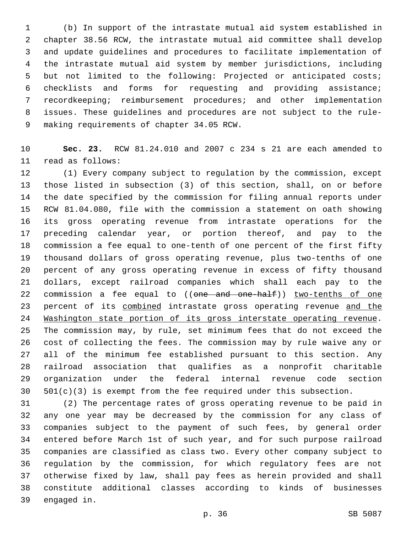(b) In support of the intrastate mutual aid system established in chapter 38.56 RCW, the intrastate mutual aid committee shall develop and update guidelines and procedures to facilitate implementation of the intrastate mutual aid system by member jurisdictions, including but not limited to the following: Projected or anticipated costs; checklists and forms for requesting and providing assistance; recordkeeping; reimbursement procedures; and other implementation issues. These guidelines and procedures are not subject to the rule-9 making requirements of chapter 34.05 RCW.

 **Sec. 23.** RCW 81.24.010 and 2007 c 234 s 21 are each amended to 11 read as follows:

 (1) Every company subject to regulation by the commission, except those listed in subsection (3) of this section, shall, on or before the date specified by the commission for filing annual reports under RCW 81.04.080, file with the commission a statement on oath showing its gross operating revenue from intrastate operations for the preceding calendar year, or portion thereof, and pay to the commission a fee equal to one-tenth of one percent of the first fifty thousand dollars of gross operating revenue, plus two-tenths of one percent of any gross operating revenue in excess of fifty thousand dollars, except railroad companies which shall each pay to the 22 commission a fee equal to ((one and one-half)) two-tenths of one 23 percent of its combined intrastate gross operating revenue and the Washington state portion of its gross interstate operating revenue. The commission may, by rule, set minimum fees that do not exceed the cost of collecting the fees. The commission may by rule waive any or all of the minimum fee established pursuant to this section. Any railroad association that qualifies as a nonprofit charitable organization under the federal internal revenue code section 501(c)(3) is exempt from the fee required under this subsection.

 (2) The percentage rates of gross operating revenue to be paid in any one year may be decreased by the commission for any class of companies subject to the payment of such fees, by general order entered before March 1st of such year, and for such purpose railroad companies are classified as class two. Every other company subject to regulation by the commission, for which regulatory fees are not otherwise fixed by law, shall pay fees as herein provided and shall constitute additional classes according to kinds of businesses 39 engaged in.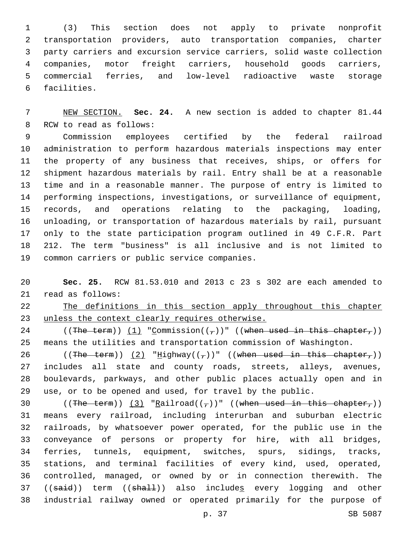(3) This section does not apply to private nonprofit transportation providers, auto transportation companies, charter party carriers and excursion service carriers, solid waste collection companies, motor freight carriers, household goods carriers, commercial ferries, and low-level radioactive waste storage 6 facilities.

 NEW SECTION. **Sec. 24.** A new section is added to chapter 81.44 8 RCW to read as follows:

 Commission employees certified by the federal railroad administration to perform hazardous materials inspections may enter the property of any business that receives, ships, or offers for shipment hazardous materials by rail. Entry shall be at a reasonable time and in a reasonable manner. The purpose of entry is limited to performing inspections, investigations, or surveillance of equipment, records, and operations relating to the packaging, loading, unloading, or transportation of hazardous materials by rail, pursuant only to the state participation program outlined in 49 C.F.R. Part 212. The term "business" is all inclusive and is not limited to 19 common carriers or public service companies.

 **Sec. 25.** RCW 81.53.010 and 2013 c 23 s 302 are each amended to 21 read as follows:

 The definitions in this section apply throughout this chapter unless the context clearly requires otherwise.

24 ((The term)) (1) "Commission( $(\tau)$ )" ((when used in this chapter,)) means the utilities and transportation commission of Washington.

26 ((The term))  $(2)$  "Highway(( $7)$ )" ((when used in this chapter $7)$ ) includes all state and county roads, streets, alleys, avenues, boulevards, parkways, and other public places actually open and in use, or to be opened and used, for travel by the public.

30 ((The term))  $(3)$  "Railroad( $(\tau)$ )" ((when used in this chapter,)) means every railroad, including interurban and suburban electric railroads, by whatsoever power operated, for the public use in the conveyance of persons or property for hire, with all bridges, ferries, tunnels, equipment, switches, spurs, sidings, tracks, stations, and terminal facilities of every kind, used, operated, controlled, managed, or owned by or in connection therewith. The 37 ((said)) term ((shall)) also includes every logging and other industrial railway owned or operated primarily for the purpose of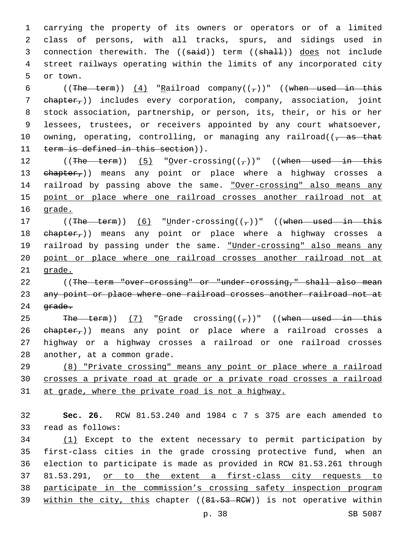1 carrying the property of its owners or operators or of a limited 2 class of persons, with all tracks, spurs, and sidings used in 3 connection therewith. The ((said)) term ((shall)) does not include 4 street railways operating within the limits of any incorporated city 5 or town.

6 ((The term))  $(4)$  "Railroad company(( $_{7}$ ))" ((when used in this 7 chapter,)) includes every corporation, company, association, joint 8 stock association, partnership, or person, its, their, or his or her 9 lessees, trustees, or receivers appointed by any court whatsoever, 10 owning, operating, controlling, or managing any railroad( $\sqrt{a}$  as that 11 term is defined in this section)).

12 ((The term)) (5) "Over-crossing( $(\tau)$ )" ((when used in this 13 ehapter,)) means any point or place where a highway crosses a 14 railroad by passing above the same. "Over-crossing" also means any 15 point or place where one railroad crosses another railroad not at 16 grade.

17 ((The term))  $(6)$  "Under-crossing(( $7$ ))" ((when used in this 18 ehapter,)) means any point or place where a highway crosses a 19 railroad by passing under the same. "Under-crossing" also means any 20 point or place where one railroad crosses another railroad not at 21 grade.

22 ((The term "over-crossing" or "under-crossing," shall also mean 23 any point or place where one railroad crosses another railroad not at 24 <del>grade.</del>

25 The term))  $(7)$  "Grade crossing( $(\tau)$ )" ((when used in this 26 ehapter,)) means any point or place where a railroad crosses a 27 highway or a highway crosses a railroad or one railroad crosses 28 another, at a common grade.

29 (8) "Private crossing" means any point or place where a railroad 30 crosses a private road at grade or a private road crosses a railroad 31 at grade, where the private road is not a highway.

32 **Sec. 26.** RCW 81.53.240 and 1984 c 7 s 375 are each amended to 33 read as follows:

 (1) Except to the extent necessary to permit participation by first-class cities in the grade crossing protective fund, when an election to participate is made as provided in RCW 81.53.261 through 81.53.291, or to the extent a first-class city requests to participate in the commission's crossing safety inspection program 39 within the city, this chapter ((81.53 RCW)) is not operative within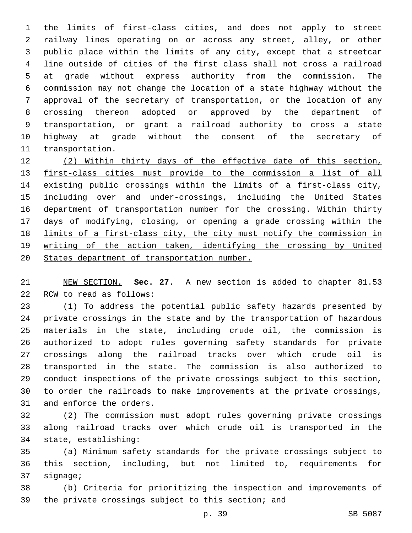the limits of first-class cities, and does not apply to street railway lines operating on or across any street, alley, or other public place within the limits of any city, except that a streetcar line outside of cities of the first class shall not cross a railroad at grade without express authority from the commission. The commission may not change the location of a state highway without the approval of the secretary of transportation, or the location of any crossing thereon adopted or approved by the department of transportation, or grant a railroad authority to cross a state highway at grade without the consent of the secretary of 11 transportation.

 (2) Within thirty days of the effective date of this section, first-class cities must provide to the commission a list of all existing public crossings within the limits of a first-class city, 15 including over and under-crossings, including the United States department of transportation number for the crossing. Within thirty days of modifying, closing, or opening a grade crossing within the limits of a first-class city, the city must notify the commission in writing of the action taken, identifying the crossing by United States department of transportation number.

 NEW SECTION. **Sec. 27.** A new section is added to chapter 81.53 22 RCW to read as follows:

 (1) To address the potential public safety hazards presented by private crossings in the state and by the transportation of hazardous materials in the state, including crude oil, the commission is authorized to adopt rules governing safety standards for private crossings along the railroad tracks over which crude oil is transported in the state. The commission is also authorized to conduct inspections of the private crossings subject to this section, to order the railroads to make improvements at the private crossings, 31 and enforce the orders.

 (2) The commission must adopt rules governing private crossings along railroad tracks over which crude oil is transported in the 34 state, establishing:

 (a) Minimum safety standards for the private crossings subject to this section, including, but not limited to, requirements for 37 signage;

 (b) Criteria for prioritizing the inspection and improvements of the private crossings subject to this section; and